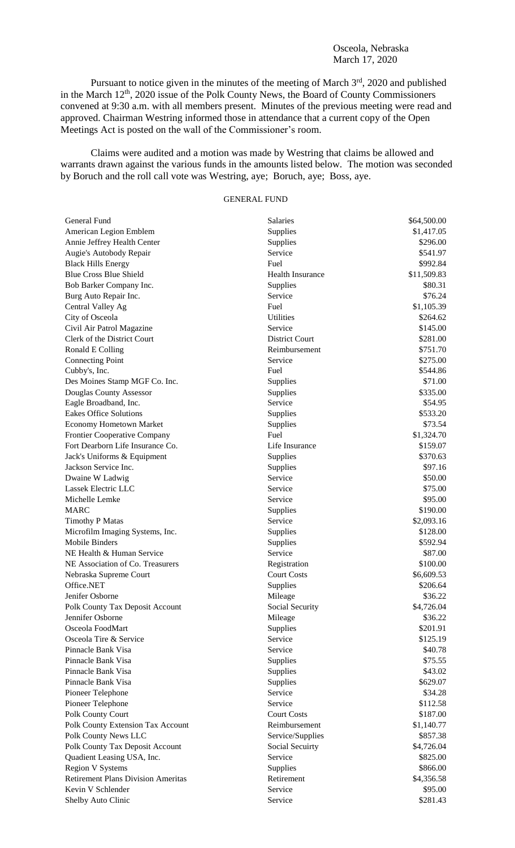## Osceola, Nebraska March 17, 2020

Pursuant to notice given in the minutes of the meeting of March 3<sup>rd</sup>, 2020 and published in the March 12<sup>th</sup>, 2020 issue of the Polk County News, the Board of County Commissioners convened at 9:30 a.m. with all members present. Minutes of the previous meeting were read and approved. Chairman Westring informed those in attendance that a current copy of the Open Meetings Act is posted on the wall of the Commissioner's room.

Claims were audited and a motion was made by Westring that claims be allowed and warrants drawn against the various funds in the amounts listed below. The motion was seconded by Boruch and the roll call vote was Westring, aye; Boruch, aye; Boss, aye.

## GENERAL FUND

| General Fund                              | <b>Salaries</b>         | \$64,500.00 |
|-------------------------------------------|-------------------------|-------------|
| American Legion Emblem                    | Supplies                | \$1,417.05  |
| Annie Jeffrey Health Center               | Supplies                | \$296.00    |
| Augie's Autobody Repair                   | Service                 | \$541.97    |
| <b>Black Hills Energy</b>                 | Fuel                    | \$992.84    |
| <b>Blue Cross Blue Shield</b>             | <b>Health Insurance</b> | \$11,509.83 |
| Bob Barker Company Inc.                   | Supplies                | \$80.31     |
| Burg Auto Repair Inc.                     | Service                 | \$76.24     |
| Central Valley Ag                         | Fuel                    | \$1,105.39  |
| City of Osceola                           | Utilities               | \$264.62    |
| Civil Air Patrol Magazine                 | Service                 | \$145.00    |
| Clerk of the District Court               | District Court          | \$281.00    |
| Ronald E Colling                          | Reimbursement           | \$751.70    |
| <b>Connecting Point</b>                   | Service                 | \$275.00    |
| Cubby's, Inc.                             | Fuel                    | \$544.86    |
| Des Moines Stamp MGF Co. Inc.             | Supplies                | \$71.00     |
| Douglas County Assessor                   | Supplies                | \$335.00    |
| Eagle Broadband, Inc.                     | Service                 | \$54.95     |
| <b>Eakes Office Solutions</b>             | Supplies                | \$533.20    |
| <b>Economy Hometown Market</b>            | Supplies                | \$73.54     |
| <b>Frontier Cooperative Company</b>       | Fuel                    | \$1,324.70  |
| Fort Dearborn Life Insurance Co.          | Life Insurance          | \$159.07    |
| Jack's Uniforms & Equipment               | Supplies                | \$370.63    |
| Jackson Service Inc.                      | Supplies                | \$97.16     |
| Dwaine W Ladwig                           | Service                 | \$50.00     |
| Lassek Electric LLC                       | Service                 | \$75.00     |
| Michelle Lemke                            | Service                 | \$95.00     |
| <b>MARC</b>                               | Supplies                | \$190.00    |
| <b>Timothy P Matas</b>                    | Service                 | \$2,093.16  |
| Microfilm Imaging Systems, Inc.           | Supplies                | \$128.00    |
| <b>Mobile Binders</b>                     | Supplies                | \$592.94    |
| NE Health & Human Service                 | Service                 | \$87.00     |
| NE Association of Co. Treasurers          | Registration            | \$100.00    |
| Nebraska Supreme Court                    | <b>Court Costs</b>      | \$6,609.53  |
| Office.NET                                | Supplies                | \$206.64    |
| Jenifer Osborne                           | Mileage                 | \$36.22     |
| Polk County Tax Deposit Account           | Social Security         | \$4,726.04  |
| Jennifer Osborne                          | Mileage                 | \$36.22     |
| Osceola FoodMart                          | Supplies                | \$201.91    |
| Osceola Tire & Service                    | Service                 | \$125.19    |
| Pinnacle Bank Visa                        | Service                 | \$40.78     |
| Pinnacle Bank Visa                        | Supplies                | \$75.55     |
| Pinnacle Bank Visa                        | Supplies                | \$43.02     |
| Pinnacle Bank Visa                        | Supplies                | \$629.07    |
| Pioneer Telephone                         | Service                 | \$34.28     |
| Pioneer Telephone                         | Service                 | \$112.58    |
| Polk County Court                         | <b>Court Costs</b>      | \$187.00    |
| Polk County Extension Tax Account         | Reimbursement           | \$1,140.77  |
| Polk County News LLC                      | Service/Supplies        | \$857.38    |
| Polk County Tax Deposit Account           | Social Secuirty         | \$4,726.04  |
| Quadient Leasing USA, Inc.                | Service                 | \$825.00    |
| <b>Region V Systems</b>                   | Supplies                | \$866.00    |
| <b>Retirement Plans Division Ameritas</b> | Retirement              | \$4,356.58  |
| Kevin V Schlender                         | Service                 | \$95.00     |
| Shelby Auto Clinic                        | Service                 | \$281.43    |
|                                           |                         |             |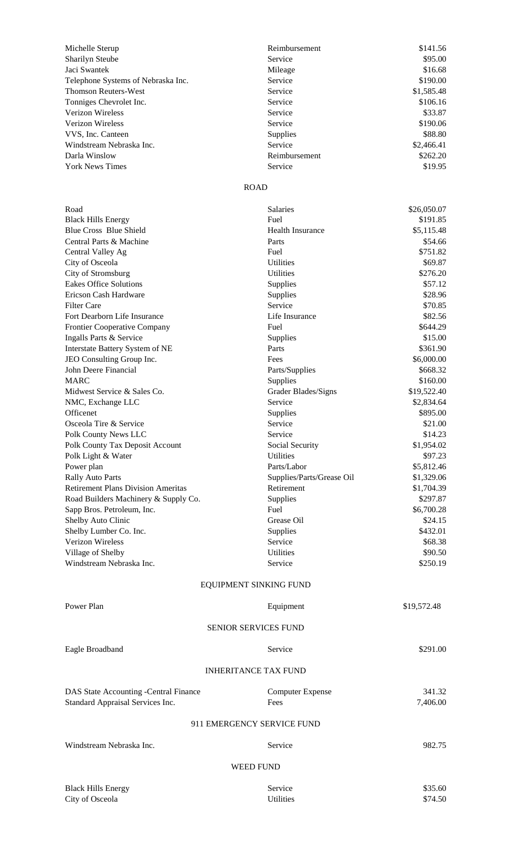| Michelle Sterup                    | Reimbursement   | \$141.56   |
|------------------------------------|-----------------|------------|
| <b>Sharilyn Steube</b>             | Service         | \$95.00    |
| Jaci Swantek                       | Mileage         | \$16.68    |
| Telephone Systems of Nebraska Inc. | Service         | \$190.00   |
| Thomson Reuters-West               | Service         | \$1,585.48 |
| Tonniges Chevrolet Inc.            | Service         | \$106.16   |
| <b>Verizon Wireless</b>            | Service         | \$33.87    |
| Verizon Wireless                   | Service         | \$190.06   |
| VVS, Inc. Canteen                  | <b>Supplies</b> | \$88.80    |
| Windstream Nebraska Inc.           | Service         | \$2,466.41 |
| Darla Winslow                      | Reimbursement   | \$262.20   |
| <b>York News Times</b>             | Service         | \$19.95    |

## ROAD

| Road                                      | <b>Salaries</b>             | \$26,050.07 |  |  |  |
|-------------------------------------------|-----------------------------|-------------|--|--|--|
| <b>Black Hills Energy</b>                 | Fuel                        | \$191.85    |  |  |  |
| <b>Blue Cross Blue Shield</b>             | <b>Health Insurance</b>     | \$5,115.48  |  |  |  |
| Central Parts & Machine                   | Parts                       | \$54.66     |  |  |  |
| Central Valley Ag                         | Fuel                        | \$751.82    |  |  |  |
| City of Osceola                           | <b>Utilities</b>            | \$69.87     |  |  |  |
| City of Stromsburg                        | Utilities                   | \$276.20    |  |  |  |
| <b>Eakes Office Solutions</b>             | Supplies                    | \$57.12     |  |  |  |
| Ericson Cash Hardware                     | Supplies                    | \$28.96     |  |  |  |
| <b>Filter Care</b>                        | Service                     | \$70.85     |  |  |  |
| Fort Dearborn Life Insurance              | Life Insurance              | \$82.56     |  |  |  |
| Frontier Cooperative Company              | Fuel                        | \$644.29    |  |  |  |
| Ingalls Parts & Service                   | Supplies                    | \$15.00     |  |  |  |
| Interstate Battery System of NE           | Parts                       | \$361.90    |  |  |  |
| JEO Consulting Group Inc.                 | Fees                        | \$6,000.00  |  |  |  |
| John Deere Financial                      | Parts/Supplies              | \$668.32    |  |  |  |
| <b>MARC</b>                               | Supplies                    | \$160.00    |  |  |  |
| Midwest Service & Sales Co.               | Grader Blades/Signs         | \$19,522.40 |  |  |  |
| NMC, Exchange LLC                         | Service                     | \$2,834.64  |  |  |  |
| Officenet                                 | Supplies                    | \$895.00    |  |  |  |
| Osceola Tire & Service                    | Service                     | \$21.00     |  |  |  |
| Polk County News LLC                      | Service                     | \$14.23     |  |  |  |
| Polk County Tax Deposit Account           | Social Security             | \$1,954.02  |  |  |  |
| Polk Light & Water                        | Utilities                   | \$97.23     |  |  |  |
| Power plan                                | Parts/Labor                 | \$5,812.46  |  |  |  |
| <b>Rally Auto Parts</b>                   | Supplies/Parts/Grease Oil   | \$1,329.06  |  |  |  |
| <b>Retirement Plans Division Ameritas</b> | Retirement                  | \$1,704.39  |  |  |  |
| Road Builders Machinery & Supply Co.      | Supplies                    | \$297.87    |  |  |  |
| Sapp Bros. Petroleum, Inc.                | Fuel                        | \$6,700.28  |  |  |  |
| Shelby Auto Clinic                        | Grease Oil                  | \$24.15     |  |  |  |
| Shelby Lumber Co. Inc.                    | Supplies                    | \$432.01    |  |  |  |
| Verizon Wireless                          | Service                     | \$68.38     |  |  |  |
| Village of Shelby                         | Utilities                   | \$90.50     |  |  |  |
| Windstream Nebraska Inc.                  | Service                     | \$250.19    |  |  |  |
|                                           | EQUIPMENT SINKING FUND      |             |  |  |  |
| Power Plan                                | Equipment                   | \$19,572.48 |  |  |  |
|                                           | <b>SENIOR SERVICES FUND</b> |             |  |  |  |
|                                           |                             |             |  |  |  |
| Eagle Broadband                           | Service                     | \$291.00    |  |  |  |
|                                           | <b>INHERITANCE TAX FUND</b> |             |  |  |  |
| DAS State Accounting -Central Finance     | <b>Computer Expense</b>     | 341.32      |  |  |  |
| Standard Appraisal Services Inc.          | Fees                        | 7,406.00    |  |  |  |
|                                           |                             |             |  |  |  |
| 911 EMERGENCY SERVICE FUND                |                             |             |  |  |  |
| Windstream Nebraska Inc.                  | Service                     | 982.75      |  |  |  |
| <b>WEED FUND</b>                          |                             |             |  |  |  |
| <b>Black Hills Energy</b>                 | Service                     | \$35.60     |  |  |  |
| City of Osceola                           | Utilities                   | \$74.50     |  |  |  |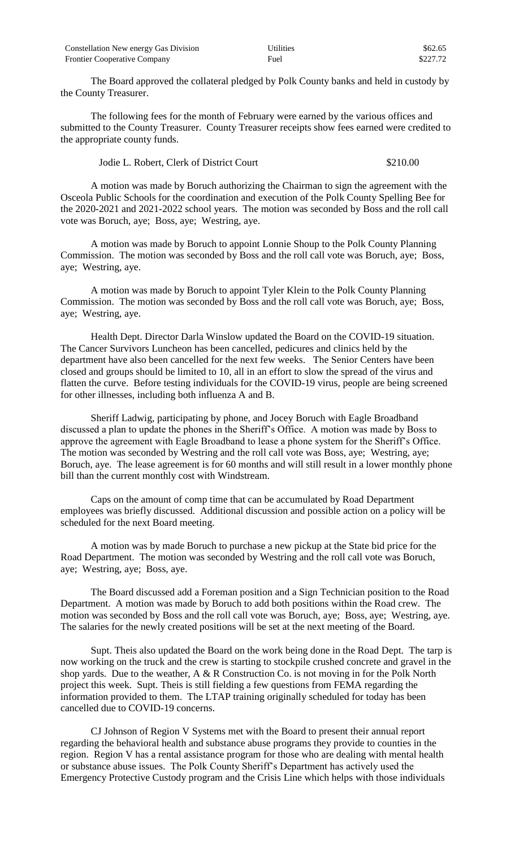| Constellation New energy Gas Division | <b>Utilities</b> | \$62.65  |
|---------------------------------------|------------------|----------|
| <b>Frontier Cooperative Company</b>   | Fuel             | \$227.72 |

The Board approved the collateral pledged by Polk County banks and held in custody by the County Treasurer.

The following fees for the month of February were earned by the various offices and submitted to the County Treasurer. County Treasurer receipts show fees earned were credited to the appropriate county funds.

## Jodie L. Robert, Clerk of District Court \$210.00

A motion was made by Boruch authorizing the Chairman to sign the agreement with the Osceola Public Schools for the coordination and execution of the Polk County Spelling Bee for the 2020-2021 and 2021-2022 school years. The motion was seconded by Boss and the roll call vote was Boruch, aye; Boss, aye; Westring, aye.

A motion was made by Boruch to appoint Lonnie Shoup to the Polk County Planning Commission. The motion was seconded by Boss and the roll call vote was Boruch, aye; Boss, aye; Westring, aye.

A motion was made by Boruch to appoint Tyler Klein to the Polk County Planning Commission. The motion was seconded by Boss and the roll call vote was Boruch, aye; Boss, aye; Westring, aye.

Health Dept. Director Darla Winslow updated the Board on the COVID-19 situation. The Cancer Survivors Luncheon has been cancelled, pedicures and clinics held by the department have also been cancelled for the next few weeks. The Senior Centers have been closed and groups should be limited to 10, all in an effort to slow the spread of the virus and flatten the curve. Before testing individuals for the COVID-19 virus, people are being screened for other illnesses, including both influenza A and B.

Sheriff Ladwig, participating by phone, and Jocey Boruch with Eagle Broadband discussed a plan to update the phones in the Sheriff's Office. A motion was made by Boss to approve the agreement with Eagle Broadband to lease a phone system for the Sheriff's Office. The motion was seconded by Westring and the roll call vote was Boss, aye; Westring, aye; Boruch, aye. The lease agreement is for 60 months and will still result in a lower monthly phone bill than the current monthly cost with Windstream.

Caps on the amount of comp time that can be accumulated by Road Department employees was briefly discussed. Additional discussion and possible action on a policy will be scheduled for the next Board meeting.

A motion was by made Boruch to purchase a new pickup at the State bid price for the Road Department. The motion was seconded by Westring and the roll call vote was Boruch, aye; Westring, aye; Boss, aye.

The Board discussed add a Foreman position and a Sign Technician position to the Road Department. A motion was made by Boruch to add both positions within the Road crew. The motion was seconded by Boss and the roll call vote was Boruch, aye; Boss, aye; Westring, aye. The salaries for the newly created positions will be set at the next meeting of the Board.

Supt. Theis also updated the Board on the work being done in the Road Dept. The tarp is now working on the truck and the crew is starting to stockpile crushed concrete and gravel in the shop yards. Due to the weather, A & R Construction Co. is not moving in for the Polk North project this week. Supt. Theis is still fielding a few questions from FEMA regarding the information provided to them. The LTAP training originally scheduled for today has been cancelled due to COVID-19 concerns.

CJ Johnson of Region V Systems met with the Board to present their annual report regarding the behavioral health and substance abuse programs they provide to counties in the region. Region V has a rental assistance program for those who are dealing with mental health or substance abuse issues. The Polk County Sheriff's Department has actively used the Emergency Protective Custody program and the Crisis Line which helps with those individuals